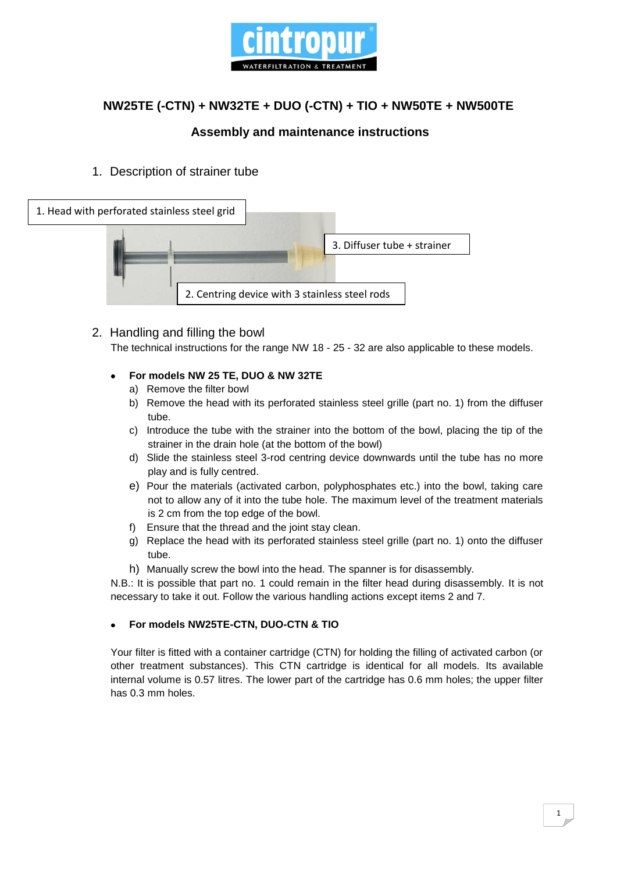

# **NW25TE (-CTN) + NW32TE + DUO (-CTN) + TIO + NW50TE + NW500TE**

## **Assembly and maintenance instructions**

### 1. Description of strainer tube



2. Handling and filling the bowl The technical instructions for the range NW 18 - 25 - 32 are also applicable to these models.

#### **For models NW 25 TE, DUO & NW 32TE**  $\bullet$

- a) Remove the filter bowl
- b) Remove the head with its perforated stainless steel grille (part no. 1) from the diffuser tube.
- c) Introduce the tube with the strainer into the bottom of the bowl, placing the tip of the strainer in the drain hole (at the bottom of the bowl)
- d) Slide the stainless steel 3-rod centring device downwards until the tube has no more play and is fully centred.
- e) Pour the materials (activated carbon, polyphosphates etc.) into the bowl, taking care not to allow any of it into the tube hole. The maximum level of the treatment materials is 2 cm from the top edge of the bowl.
- f) Ensure that the thread and the joint stay clean.
- g) Replace the head with its perforated stainless steel grille (part no. 1) onto the diffuser tube.
- h) Manually screw the bowl into the head. The spanner is for disassembly.

N.B.: It is possible that part no. 1 could remain in the filter head during disassembly. It is not necessary to take it out. Follow the various handling actions except items 2 and 7.

#### **For models NW25TE-CTN, DUO-CTN & TIO**

Your filter is fitted with a container cartridge (CTN) for holding the filling of activated carbon (or other treatment substances). This CTN cartridge is identical for all models. Its available internal volume is 0.57 litres. The lower part of the cartridge has 0.6 mm holes; the upper filter has 0.3 mm holes.